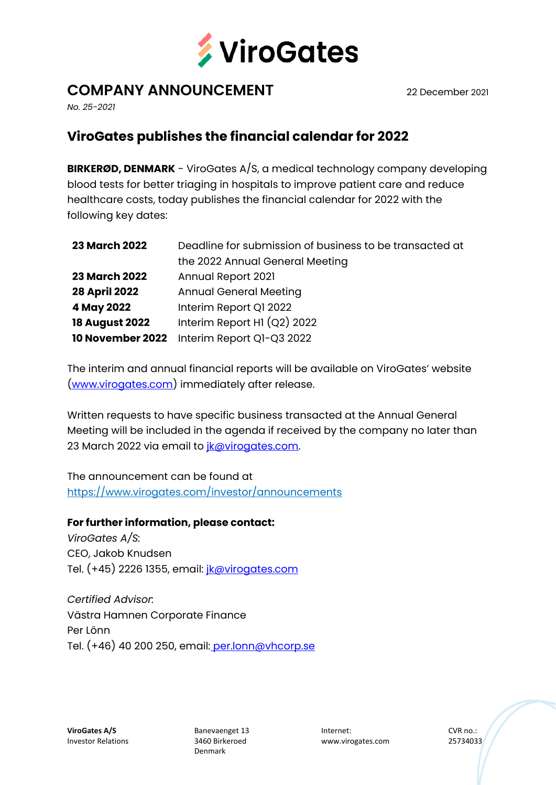

# **COMPANY ANNOUNCEMENT** 22 December 2021

*No. 25-2021*

## **ViroGates publishes the financial calendar for 2022**

**BIRKERØD, DENMARK** - ViroGates A/S, a medical technology company developing blood tests for better triaging in hospitals to improve patient care and reduce healthcare costs, today publishes the financial calendar for 2022 with the following key dates:

| <b>23 March 2022</b>  | Deadline for submission of business to be transacted at |
|-----------------------|---------------------------------------------------------|
|                       | the 2022 Annual General Meeting                         |
| <b>23 March 2022</b>  | <b>Annual Report 2021</b>                               |
| <b>28 April 2022</b>  | <b>Annual General Meeting</b>                           |
| 4 May 2022            | Interim Report Q1 2022                                  |
| <b>18 August 2022</b> | Interim Report HI $(Q2)$ 2022                           |
|                       | 10 November 2022 Interim Report Q1-Q3 2022              |

The interim and annual financial reports will be available on ViroGates' website [\(www.virogates.com\)](http://www.virogates.com/) immediately after release.

Written requests to have specific business transacted at the Annual General Meeting will be included in the agenda if received by the company no later than 23 March 2022 via email to *jk@virogates.com.* 

The announcement can be found at <https://www.virogates.com/investor/announcements>

## **For further information, please contact:**

*ViroGates A/S:* CEO, Jakob Knudsen Tel. (+45) 2226 1355, email: *[jk@virogates.com](mailto:jk@virogates.com)* 

*Certified Advisor:* Västra Hamnen Corporate Finance Per Lönn Tel. (+46) 40 200 250, email: [per.lonn@vhcorp.se](mailto:per.lonn@vhcorp.se)

Denmark